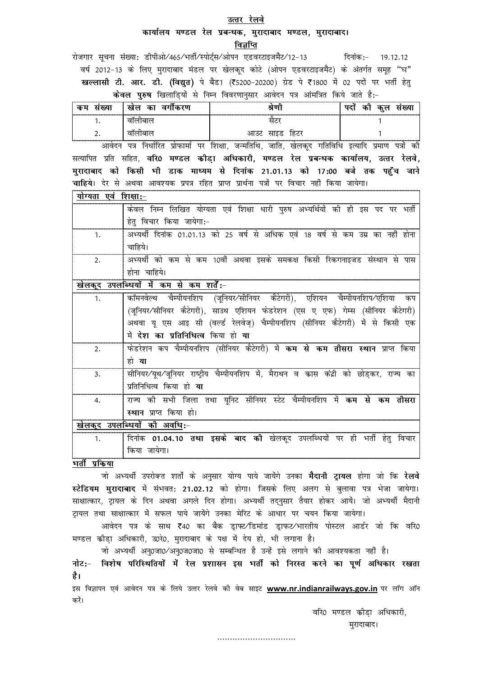#### उत्तर रेलवे

## कार्यालय मण्डल रेल प्रबन्धक, मुरादाबाद मण्डल, मुरादाबाद। विज्ञप्ति

रोजगार सूचना संख्या: डीपीओ/465/भर्ती/स्पोर्ट्स/ओपन एडवरटाइजमैंट/12-13 दिनांक:- 19.12.12 वर्ष 2012-13 के लिए मुरादाबाद मंडल पर खेलकुद कोटे (ओपन एडवरटाइजमैंट) के अंतर्गत समुह "घ" खल्लासी टी. आर. डी. (विद्युत) पे बैड1 (₹5200-20200) ग्रेड पे ₹1800 में 02 पदों पर भर्ती हेतु केवल पुरुष खिलाडियों से निम्न विवरणानुसार आवेदन पत्र आंमत्रित किये जाते है:-

| юu       | $\sim$<br>रण<br>œ        |                         | <br>т. |
|----------|--------------------------|-------------------------|--------|
|          | $\overline{\phantom{a}}$ |                         |        |
| <u>.</u> | ÷                        | 'ನಲ<br>ঙা.<br>oс<br>পাহ |        |

आवेदन पत्र निर्धारित प्रोफार्मा पर शिक्षा, जन्मतिथि, जाति, खेलकुद गतिविधि इत्यादि प्रमाण पत्रों की सत्यापित प्रति सहित, वरि0 मण्डल कौडा अधिकारी, मण्डल रेल प्रबन्धक कार्यालय, उत्तर रेलवे, मुरादाबाद को किसी भी डाक माध्यम से दिनांक 21.01.13 को 17:00 बजे तक पहुँच जाने चाहिये। देर से अथवा आवश्यक प्रपत्र रहित प्राप्त प्रार्थना पत्रों पर विचार नहीं किया जायेगा। योग्यता गर्वे जिथ्ना -

| 91 ° 931<br>्य ।रापान |                                                                                 |  |  |  |  |  |  |  |
|-----------------------|---------------------------------------------------------------------------------|--|--|--|--|--|--|--|
|                       | योग्यता एवं शिक्षा धारी पुरुष अभ्यर्थियों की ही इस पद पर भर्ती<br>ं लिखित       |  |  |  |  |  |  |  |
|                       | विचार किया जायगा:-<br>हत                                                        |  |  |  |  |  |  |  |
|                       | अभ्यर्थी दिनांक 01.01.13 को 25 वर्ष से अधिक एवं 18 वर्ष से कम उम्र का नहीं होना |  |  |  |  |  |  |  |
|                       |                                                                                 |  |  |  |  |  |  |  |
|                       | अभ्यर्थी को कम से कम 10वीं अथवा इसके समकक्ष किसी रिकगनाइजड संस्थान से पास       |  |  |  |  |  |  |  |
|                       | चाहिये।<br>हाना                                                                 |  |  |  |  |  |  |  |

खेलकुद उपलब्धियों में कम से कम शर्तें:-

| 1.             | कॉमनवेल्थ चैम्पीयनशिप (जूनियर/सीनियर कैटेगरी), एशियन चैम्पीयनशिप/एशिया कप            |
|----------------|--------------------------------------------------------------------------------------|
|                | (जूनियर∕सीनियर कैटेगरी), साउथ एशियन फेडरेशन (एस ए एफ) गेम्स (सीनियर कैटेगरी)         |
|                | अथवा यू एस आइ सी (वर्ल्ड रेलवेज़्) चैम्पीयनशिप (सीनियर कैटेगरी) में से किसी एक       |
|                | में देश का प्रतिनिधित्व किया हो या                                                   |
| 2.             | फेडरेशन कप चैम्पीयनशिप (सीनियर कैटेगरी) में <b>कम से कम तीसरा स्थान</b> प्राप्त किया |
|                | हो या                                                                                |
| 3.             | सीनियर∕यूथ∕जूनियर राष्ट्रीय चैम्पीयनशिप में, मैराथन व कास कंद्री को छोड़कर, राज्य का |
|                | प्रतिनिधित्व किया हो <b>या</b>                                                       |
| $\mathbf{4}$   | राज्य की सभी जिला तथा यूनिट सीनियर स्टेट चैम्पीयनशिप में <b>कम से कम तीसरा</b>       |
|                | स्थान प्राप्त किया हो।                                                               |
|                | खेलकूद उपलब्धियों की अवधि:-                                                          |
| 1 <sub>1</sub> | दिनांक 01.04.10 <b>तथा इसके बाद की</b> खेलकूद उपलब्धियों पर ही भर्ती हेतु विचार      |
|                | किया जायेगा।                                                                         |

भर्ती प्रकिया

जो अभ्यर्थी उपरोक्त शर्तो के अनुसार योग्य पाये जायेंगे उनका **मैदानी ट्रायल** होगा जो कि **रेलवे** स्टेडियम मुरादाबाद में संभवत: 21.02.12 को होगा। जिसके लिए अलग से बुलावा पत्र भेजा जायेगा। साक्षात्कार, ट्रायल के दिन अथवा अगले दिन होगा। अभ्यर्थी तद्नुसार तैयार होकर आयें। जो अभ्यर्थी मैदानी ट्रायल तथा साक्षात्कार में सफल पाये जायेंगे उनका मेरिट के आधार पर चयन किया जायेगा।

आवेदन पत्र के साथ ₹40 का बैंक ड्राफ्ट∕'डिमांड ड्राफट∕भारतीय पोस्टल आर्डर जो कि वरि0 मण्डल क्रीडा अधिकारी, उ0रे0, मुरादाबाद के पक्ष में देय हो, भी लगाना है।

जो अभ्यर्थी अनु0जा0/अनु0ज0जा0 से सम्बन्धित है उन्हें इसे लगाने की आवश्यकता नहीं है। नोट:- विशेष परिस्थितियों में रेल प्रशासन इस भर्ती को निरस्त करने का पूर्ण अधिकार रखता है।

इस विज्ञापन एवं आवेदन पत्र के लिये उत्तर रेलवे की वेब साइट www.nr.indianrailways.gov.in पर लॉग ऑन करें।

वरि0 मण्डल कीडा अधिकारी,

मुरादाबाद।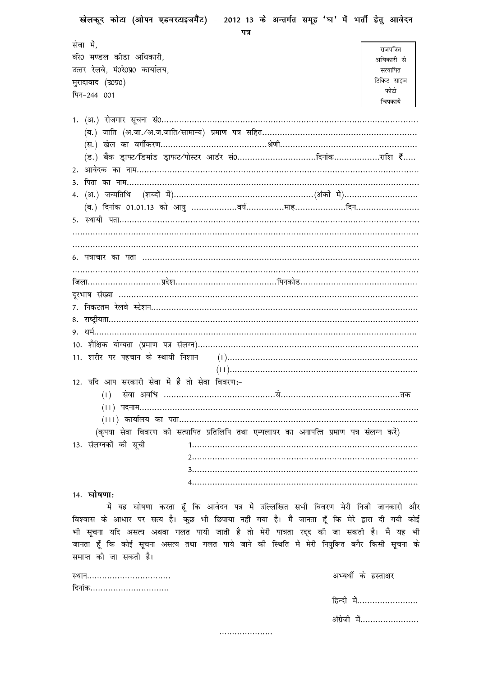| खेलकूद कोटा (ओपन एडवरटाइजमैंट) - 2012-13 के अन्तर्गत समूह 'घ' में भर्ती हेतु आवेदन<br>पत्र     |            |
|------------------------------------------------------------------------------------------------|------------|
| सेवा में,                                                                                      | राजपत्रित  |
| र्वर0 मण्डल कोडा अधिकारी,                                                                      | अधिकारी से |
| उत्तर रेलवे, मं0रे0प्र0 कार्यालय,                                                              | सत्यापित   |
| मुरादाबाद (उ0प्र0)                                                                             | टिकिट साइज |
| पिन-244 001                                                                                    | फोटो       |
|                                                                                                | चिपकार्ये  |
|                                                                                                |            |
|                                                                                                |            |
| (ड.) बैक ड्राफ्ट⁄'डिमांड ड्राफट⁄पोस्टर आर्डर सं0दिनांकराशि ₹                                   |            |
|                                                                                                |            |
|                                                                                                |            |
|                                                                                                |            |
|                                                                                                |            |
|                                                                                                |            |
|                                                                                                |            |
|                                                                                                |            |
|                                                                                                |            |
|                                                                                                |            |
|                                                                                                |            |
|                                                                                                |            |
|                                                                                                |            |
|                                                                                                |            |
|                                                                                                |            |
|                                                                                                |            |
|                                                                                                |            |
|                                                                                                |            |
| 12. यदि आप सरकारी सेवा में है तो सेवा विवरण:-                                                  |            |
|                                                                                                |            |
|                                                                                                |            |
|                                                                                                |            |
| (कृपया सेवा विवरण की सत्यापित प्रतिलिपि तथा एम्पलायर का अनापत्ति प्रमाण पत्र संलग्न करें)      |            |
| 13. संलग्नकों की सूची                                                                          |            |
|                                                                                                |            |
|                                                                                                |            |
|                                                                                                |            |
| 14. घोषणा:-                                                                                    |            |
| में यह घोषणा करता हूँ कि आवेदन पत्र में उल्लिखित सभी विवरण मेरी निजी जानकारी और                |            |
| विश्वास के आधार पर सत्य है। कुछ भी छिपाया नहीं गया है। मैं जानता हूँ कि मेरे द्वारा दी गयी कोई |            |
| भी सूचना यदि असत्य अथवा गलत पायी जाती है तो मेरी पात्रता रद्द की जा सकती है। मैं यह भी         |            |
| जानता हूँ कि कोई सूचना असत्य तथा गलत पाये जाने की स्थिति में मेरी नियुक्ति बगैर किसी सूचना के  |            |
| समाप्त की जा सकती है।                                                                          |            |

| स्थान  |  |  |  |  |  |  |  |  |
|--------|--|--|--|--|--|--|--|--|
| त्नांक |  |  |  |  |  |  |  |  |

अभ्यर्थी के हस्ताक्षर

| हिन्दी में   |
|--------------|
| अंग्रेजी में |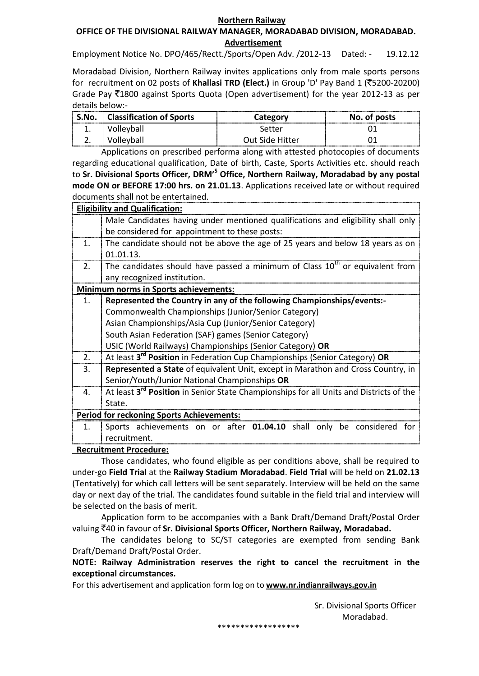#### **Northern Railway**

### **OFFICE OF THE DIVISIONAL RAILWAY MANAGER, MORADABAD DIVISION, MORADABAD. Advertisement**

Employment Notice No. DPO/465/Rectt./Sports/Open Adv. /2012-13 Dated: - 19.12.12

Moradabad Division, Northern Railway invites applications only from male sports persons for recruitment on 02 posts of **Khallasi TRD (Elect.)** in Group 'D' Pay Band 1 (`5200-20200) Grade Pay  $\overline{5}1800$  against Sports Quota (Open advertisement) for the year 2012-13 as per details below:-

| S.No.      | Classification of Sports | Category        | <br>No. of posts |
|------------|--------------------------|-----------------|------------------|
| ᅩ.         | 'olleyball               | Setter          |                  |
| <u>.</u> . | 'ollevball               | Out Side Hitter |                  |

Applications on prescribed performa along with attested photocopies of documents regarding educational qualification, Date of birth, Caste, Sports Activities etc. should reach to **Sr. Divisional Sports Officer, DRM'<sup>S</sup> Office, Northern Railway, Moradabad by any postal mode ON or BEFORE 17:00 hrs. on 21.01.13**. Applications received late or without required documents shall not be entertained.

|                | <b>Eligibility and Qualification:</b>                                                              |  |  |  |  |  |  |
|----------------|----------------------------------------------------------------------------------------------------|--|--|--|--|--|--|
|                | Male Candidates having under mentioned qualifications and eligibility shall only                   |  |  |  |  |  |  |
|                | be considered for appointment to these posts:                                                      |  |  |  |  |  |  |
| 1.             | The candidate should not be above the age of 25 years and below 18 years as on                     |  |  |  |  |  |  |
|                | 01.01.13.                                                                                          |  |  |  |  |  |  |
| 2.             | The candidates should have passed a minimum of Class $10th$ or equivalent from                     |  |  |  |  |  |  |
|                | any recognized institution.                                                                        |  |  |  |  |  |  |
|                | <b>Minimum norms in Sports achievements:</b>                                                       |  |  |  |  |  |  |
| $\mathbf{1}$ . | Represented the Country in any of the following Championships/events:-                             |  |  |  |  |  |  |
|                | Commonwealth Championships (Junior/Senior Category)                                                |  |  |  |  |  |  |
|                | Asian Championships/Asia Cup (Junior/Senior Category)                                              |  |  |  |  |  |  |
|                | South Asian Federation (SAF) games (Senior Category)                                               |  |  |  |  |  |  |
|                | USIC (World Railways) Championships (Senior Category) OR                                           |  |  |  |  |  |  |
| 2.             | At least 3 <sup>rd</sup> Position in Federation Cup Championships (Senior Category) OR             |  |  |  |  |  |  |
| 3.             | Represented a State of equivalent Unit, except in Marathon and Cross Country, in                   |  |  |  |  |  |  |
|                | Senior/Youth/Junior National Championships OR                                                      |  |  |  |  |  |  |
| 4.             | At least 3 <sup>rd</sup> Position in Senior State Championships for all Units and Districts of the |  |  |  |  |  |  |
|                | State.                                                                                             |  |  |  |  |  |  |
|                | <b>Period for reckoning Sports Achievements:</b>                                                   |  |  |  |  |  |  |
| 1.             | Sports achievements on or after 01.04.10 shall only be considered for                              |  |  |  |  |  |  |
|                | recruitment.                                                                                       |  |  |  |  |  |  |
|                | <b>Recruitment Procedure:</b>                                                                      |  |  |  |  |  |  |

 **Recruitment Procedure:** Those candidates, who found eligible as per conditions above, shall be required to under-go **Field Trial** at the **Railway Stadium Moradabad**. **Field Trial** will be held on **21.02.13** (Tentatively) for which call letters will be sent separately. Interview will be held on the same day or next day of the trial. The candidates found suitable in the field trial and interview will

be selected on the basis of merit. Application form to be accompanies with a Bank Draft/Demand Draft/Postal Order valuing `40 in favour of **Sr. Divisional Sports Officer, Northern Railway, Moradabad.**

The candidates belong to SC/ST categories are exempted from sending Bank Draft/Demand Draft/Postal Order.

**NOTE: Railway Administration reserves the right to cancel the recruitment in the exceptional circumstances.**

For this advertisement and application form log on to **[www.nr.indianrailways.gov.in](http://www.nr.indianrailways.gov.in/)**

 Sr. Divisional Sports Officer Moradabad.

\*\*\*\*\*\*\*\*\*\*\*\*\*\*\*\*\*\*